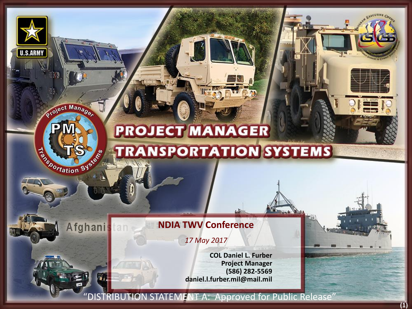## **PROJECT MANAGER TRANSPORTATION SYSTEMS**

## **NDIA TWV Conference**

**U.S.ARMY** 

Project Manager

Exportation System

Afghani

*17 May 2017*

**COL Daniel L. Furber Project Manager (586) 282-5569 daniel.l.furber.mil@mail.mil**

"DISTRIBUTION STATEMENT A: Approved for Public Release"